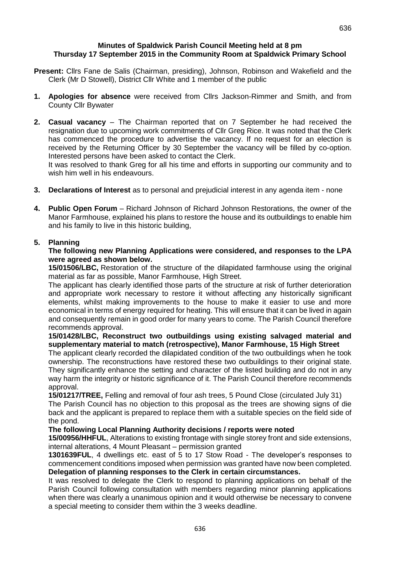#### **Minutes of Spaldwick Parish Council Meeting held at 8 pm Thursday 17 September 2015 in the Community Room at Spaldwick Primary School**

- **Present:** Cllrs Fane de Salis (Chairman, presiding), Johnson, Robinson and Wakefield and the Clerk (Mr D Stowell), District Cllr White and 1 member of the public
- **1. Apologies for absence** were received from Cllrs Jackson-Rimmer and Smith, and from County Cllr Bywater
- **2. Casual vacancy**  The Chairman reported that on 7 September he had received the resignation due to upcoming work commitments of Cllr Greg Rice. It was noted that the Clerk has commenced the procedure to advertise the vacancy. If no request for an election is received by the Returning Officer by 30 September the vacancy will be filled by co-option. Interested persons have been asked to contact the Clerk.

It was resolved to thank Greg for all his time and efforts in supporting our community and to wish him well in his endeavours.

- **3. Declarations of Interest** as to personal and prejudicial interest in any agenda item none
- **4. Public Open Forum** Richard Johnson of Richard Johnson Restorations, the owner of the Manor Farmhouse, explained his plans to restore the house and its outbuildings to enable him and his family to live in this historic building,

## **5. Planning**

#### **The following new Planning Applications were considered, and responses to the LPA were agreed as shown below.**

**15/01506/LBC,** Restoration of the structure of the dilapidated farmhouse using the original material as far as possible, Manor Farmhouse, High Street.

The applicant has clearly identified those parts of the structure at risk of further deterioration and appropriate work necessary to restore it without affecting any historically significant elements, whilst making improvements to the house to make it easier to use and more economical in terms of energy required for heating. This will ensure that it can be lived in again and consequently remain in good order for many years to come. The Parish Council therefore recommends approval.

**15/01428/LBC, Reconstruct two outbuildings using existing salvaged material and supplementary material to match (retrospective), Manor Farmhouse, 15 High Street**

The applicant clearly recorded the dilapidated condition of the two outbuildings when he took ownership. The reconstructions have restored these two outbuildings to their original state. They significantly enhance the setting and character of the listed building and do not in any way harm the integrity or historic significance of it. The Parish Council therefore recommends approval.

**15/01217/TREE,** Felling and removal of four ash trees, 5 Pound Close (circulated July 31)

The Parish Council has no objection to this proposal as the trees are showing signs of die back and the applicant is prepared to replace them with a suitable species on the field side of the pond.

#### **The following Local Planning Authority decisions / reports were noted**

**15/00956/HHFUL**, Alterations to existing frontage with single storey front and side extensions, internal alterations, 4 Mount Pleasant – permission granted

**1301639FUL**, 4 dwellings etc. east of 5 to 17 Stow Road - The developer's responses to commencement conditions imposed when permission was granted have now been completed. **Delegation of planning responses to the Clerk in certain circumstances.**

It was resolved to delegate the Clerk to respond to planning applications on behalf of the Parish Council following consultation with members regarding minor planning applications when there was clearly a unanimous opinion and it would otherwise be necessary to convene a special meeting to consider them within the 3 weeks deadline.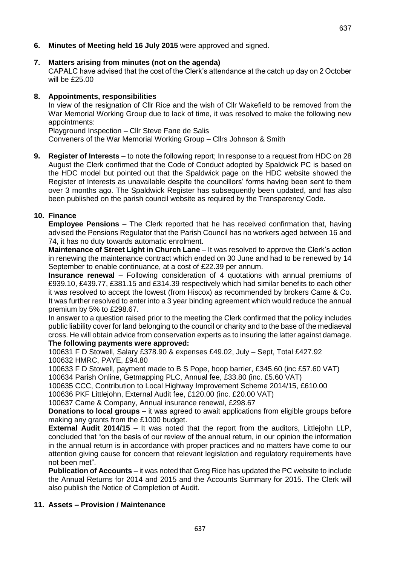**6. Minutes of Meeting held 16 July 2015** were approved and signed.

### **7. Matters arising from minutes (not on the agenda)**

CAPALC have advised that the cost of the Clerk's attendance at the catch up day on 2 October will be £25.00

## **8. Appointments, responsibilities**

In view of the resignation of Cllr Rice and the wish of Cllr Wakefield to be removed from the War Memorial Working Group due to lack of time, it was resolved to make the following new appointments:

Playground Inspection – Cllr Steve Fane de Salis

Conveners of the War Memorial Working Group – Cllrs Johnson & Smith

**9. Register of Interests** – to note the following report; In response to a request from HDC on 28 August the Clerk confirmed that the Code of Conduct adopted by Spaldwick PC is based on the HDC model but pointed out that the Spaldwick page on the HDC website showed the Register of Interests as unavailable despite the councillors' forms having been sent to them over 3 months ago. The Spaldwick Register has subsequently been updated, and has also been published on the parish council website as required by the Transparency Code.

## **10. Finance**

**Employee Pensions** – The Clerk reported that he has received confirmation that, having advised the Pensions Regulator that the Parish Council has no workers aged between 16 and 74, it has no duty towards automatic enrolment.

**Maintenance of Street Light in Church Lane** – It was resolved to approve the Clerk's action in renewing the maintenance contract which ended on 30 June and had to be renewed by 14 September to enable continuance, at a cost of £22.39 per annum.

**Insurance renewal** – Following consideration of 4 quotations with annual premiums of £939.10, £439.77, £381.15 and £314.39 respectively which had similar benefits to each other it was resolved to accept the lowest (from Hiscox) as recommended by brokers Came & Co. It was further resolved to enter into a 3 year binding agreement which would reduce the annual premium by 5% to £298.67.

In answer to a question raised prior to the meeting the Clerk confirmed that the policy includes public liability cover for land belonging to the council or charity and to the base of the mediaeval cross. He will obtain advice from conservation experts as to insuring the latter against damage. **The following payments were approved:**

100631 F D Stowell, Salary £378.90 & expenses £49.02, July – Sept, Total £427.92 100632 HMRC, PAYE, £94.80

100633 F D Stowell, payment made to B S Pope, hoop barrier, £345.60 (inc £57.60 VAT) 100634 Parish Online, Getmapping PLC, Annual fee, £33.80 (inc. £5.60 VAT)

100635 CCC, Contribution to Local Highway Improvement Scheme 2014/15, £610.00

100636 PKF Littlejohn, External Audit fee, £120.00 (inc. £20.00 VAT)

100637 Came & Company, Annual insurance renewal, £298.67

**Donations to local groups** – it was agreed to await applications from eligible groups before making any grants from the £1000 budget.

**External Audit 2014/15** – It was noted that the report from the auditors, Littlejohn LLP, concluded that "on the basis of our review of the annual return, in our opinion the information in the annual return is in accordance with proper practices and no matters have come to our attention giving cause for concern that relevant legislation and regulatory requirements have not been met".

**Publication of Accounts** – it was noted that Greg Rice has updated the PC website to include the Annual Returns for 2014 and 2015 and the Accounts Summary for 2015. The Clerk will also publish the Notice of Completion of Audit.

# **11. Assets – Provision / Maintenance**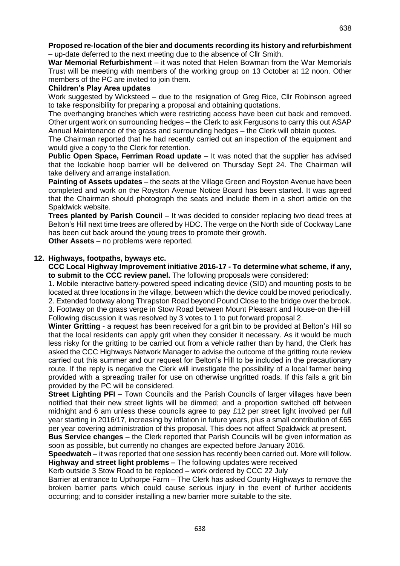#### **Proposed re-location of the bier and documents recording its history and refurbishment**  – up-date deferred to the next meeting due to the absence of Cllr Smith.

**War Memorial Refurbishment** – it was noted that Helen Bowman from the War Memorials Trust will be meeting with members of the working group on 13 October at 12 noon. Other members of the PC are invited to join them.

## **Children's Play Area updates**

Work suggested by Wicksteed – due to the resignation of Greg Rice, Cllr Robinson agreed to take responsibility for preparing a proposal and obtaining quotations.

The overhanging branches which were restricting access have been cut back and removed. Other urgent work on surrounding hedges – the Clerk to ask Fergusons to carry this out ASAP Annual Maintenance of the grass and surrounding hedges – the Clerk will obtain quotes.

The Chairman reported that he had recently carried out an inspection of the equipment and would give a copy to the Clerk for retention.

**Public Open Space, Ferriman Road update** – It was noted that the supplier has advised that the lockable hoop barrier will be delivered on Thursday Sept 24. The Chairman will take delivery and arrange installation.

**Painting of Assets updates** – the seats at the Village Green and Royston Avenue have been completed and work on the Royston Avenue Notice Board has been started. It was agreed that the Chairman should photograph the seats and include them in a short article on the Spaldwick website.

**Trees planted by Parish Council** – It was decided to consider replacing two dead trees at Belton's Hill next time trees are offered by HDC. The verge on the North side of Cockway Lane has been cut back around the young trees to promote their growth.

**Other Assets** – no problems were reported.

# **12. Highways, footpaths, byways etc.**

**CCC Local Highway Improvement initiative 2016-17 - To determine what scheme, if any, to submit to the CCC review panel.** The following proposals were considered:

1. Mobile interactive battery-powered speed indicating device (SID) and mounting posts to be located at three locations in the village, between which the device could be moved periodically. 2. Extended footway along Thrapston Road beyond Pound Close to the bridge over the brook. 3. Footway on the grass verge in Stow Road between Mount Pleasant and House-on the-Hill Following discussion it was resolved by 3 votes to 1 to put forward proposal 2.

**Winter Gritting** - a request has been received for a grit bin to be provided at Belton's Hill so that the local residents can apply grit when they consider it necessary. As it would be much less risky for the gritting to be carried out from a vehicle rather than by hand, the Clerk has asked the CCC Highways Network Manager to advise the outcome of the gritting route review carried out this summer and our request for Belton's Hill to be included in the precautionary route. If the reply is negative the Clerk will investigate the possibility of a local farmer being provided with a spreading trailer for use on otherwise ungritted roads. If this fails a grit bin provided by the PC will be considered.

**Street Lighting PFI** – Town Councils and the Parish Councils of larger villages have been notified that their new street lights will be dimmed; and a proportion switched off between midnight and 6 am unless these councils agree to pay £12 per street light involved per full year starting in 2016/17, increasing by inflation in future years, plus a small contribution of £65 per year covering administration of this proposal. This does not affect Spaldwick at present.

**Bus Service changes** – the Clerk reported that Parish Councils will be given information as soon as possible, but currently no changes are expected before January 2016.

**Speedwatch** – it was reported that one session has recently been carried out. More will follow. **Highway and street light problems –** The following updates were received

Kerb outside 3 Stow Road to be replaced – work ordered by CCC 22 July

Barrier at entrance to Upthorpe Farm – The Clerk has asked County Highways to remove the broken barrier parts which could cause serious injury in the event of further accidents occurring; and to consider installing a new barrier more suitable to the site.